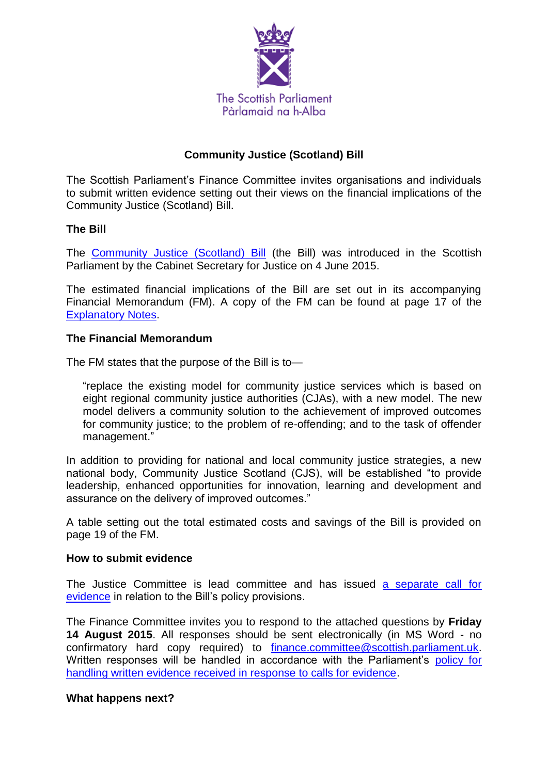

# **Community Justice (Scotland) Bill**

The Scottish Parliament's Finance Committee invites organisations and individuals to submit written evidence setting out their views on the financial implications of the Community Justice (Scotland) Bill.

### **The Bill**

The [Community Justice \(Scotland\) Bill](http://www.scottish.parliament.uk/parliamentarybusiness/Bills/88702.aspx) (the Bill) was introduced in the Scottish Parliament by the Cabinet Secretary for Justice on 4 June 2015.

The estimated financial implications of the Bill are set out in its accompanying Financial Memorandum (FM). A copy of the FM can be found at page 17 of the [Explanatory Notes.](http://www.scottish.parliament.uk/S4_Bills/Community%20Justice%20(Scotland)%20Bill/b68s4-introd-en.pdf)

### **The Financial Memorandum**

The FM states that the purpose of the Bill is to—

"replace the existing model for community justice services which is based on eight regional community justice authorities (CJAs), with a new model. The new model delivers a community solution to the achievement of improved outcomes for community justice; to the problem of re-offending; and to the task of offender management."

In addition to providing for national and local community justice strategies, a new national body, Community Justice Scotland (CJS), will be established "to provide leadership, enhanced opportunities for innovation, learning and development and assurance on the delivery of improved outcomes."

A table setting out the total estimated costs and savings of the Bill is provided on page 19 of the FM.

#### **How to submit evidence**

The Justice Committee is lead committee and has issued [a separate call](http://www.scottish.parliament.uk/parliamentarybusiness/CurrentCommittees/89658.aspx) for [evidence](http://www.scottish.parliament.uk/parliamentarybusiness/CurrentCommittees/89658.aspx) in relation to the Bill's policy provisions.

The Finance Committee invites you to respond to the attached questions by **Friday 14 August 2015**. All responses should be sent electronically (in MS Word - no confirmatory hard copy required) to [finance.committee@scottish.parliament.uk.](mailto:finance.committee@scottish.parliament.uk) Written responses will be handled in accordance with the Parliament's policy for [handling written evidence received in response to calls for evidence.](http://www.scottish.parliament.uk/help/31037.aspx)

#### **What happens next?**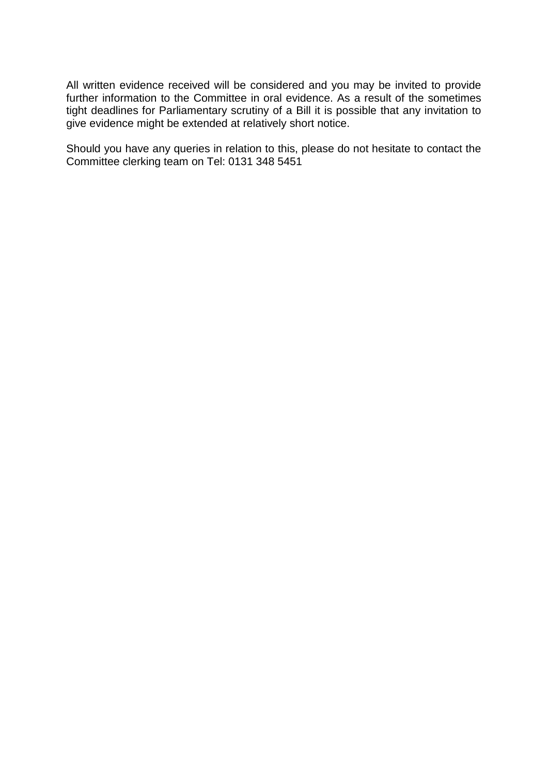All written evidence received will be considered and you may be invited to provide further information to the Committee in oral evidence. As a result of the sometimes tight deadlines for Parliamentary scrutiny of a Bill it is possible that any invitation to give evidence might be extended at relatively short notice.

Should you have any queries in relation to this, please do not hesitate to contact the Committee clerking team on Tel: 0131 348 5451